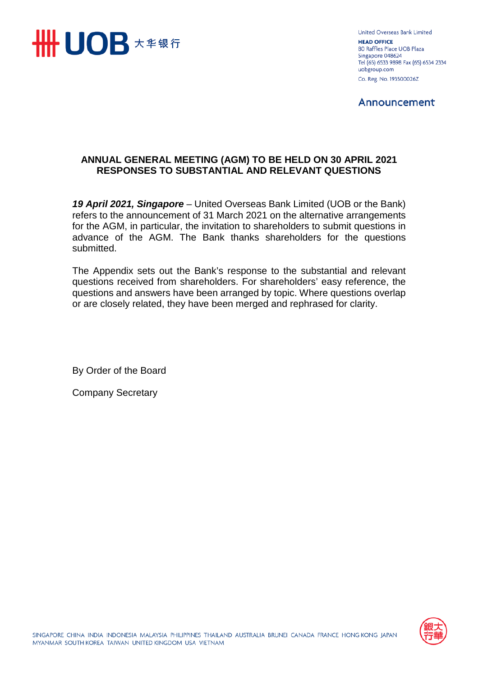

United Overseas Bank Limited **HEAD OFFICE** 80 Raffles Place UOB Plaza Singapore 048624 Tel (65) 6533 9898 Fax (65) 6534 2334 uobgroup.com Co. Reg. No. 193500026Z

Announcement

# **ANNUAL GENERAL MEETING (AGM) TO BE HELD ON 30 APRIL 2021 RESPONSES TO SUBSTANTIAL AND RELEVANT QUESTIONS**

*19 April 2021, Singapore* – United Overseas Bank Limited (UOB or the Bank) refers to the announcement of 31 March 2021 on the alternative arrangements for the AGM, in particular, the invitation to shareholders to submit questions in advance of the AGM. The Bank thanks shareholders for the questions submitted.

The Appendix sets out the Bank's response to the substantial and relevant questions received from shareholders. For shareholders' easy reference, the questions and answers have been arranged by topic. Where questions overlap or are closely related, they have been merged and rephrased for clarity.

By Order of the Board

Company Secretary

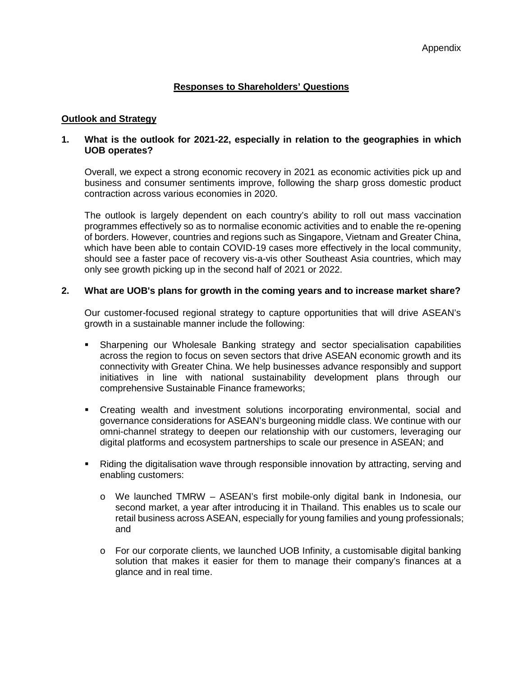# **Responses to Shareholders' Questions**

## **Outlook and Strategy**

## **1. What is the outlook for 2021-22, especially in relation to the geographies in which UOB operates?**

Overall, we expect a strong economic recovery in 2021 as economic activities pick up and business and consumer sentiments improve, following the sharp gross domestic product contraction across various economies in 2020.

The outlook is largely dependent on each country's ability to roll out mass vaccination programmes effectively so as to normalise economic activities and to enable the re-opening of borders. However, countries and regions such as Singapore, Vietnam and Greater China, which have been able to contain COVID-19 cases more effectively in the local community, should see a faster pace of recovery vis-a-vis other Southeast Asia countries, which may only see growth picking up in the second half of 2021 or 2022.

## **2. What are UOB's plans for growth in the coming years and to increase market share?**

Our customer-focused regional strategy to capture opportunities that will drive ASEAN's growth in a sustainable manner include the following:

- Sharpening our Wholesale Banking strategy and sector specialisation capabilities across the region to focus on seven sectors that drive ASEAN economic growth and its connectivity with Greater China. We help businesses advance responsibly and support initiatives in line with national sustainability development plans through our comprehensive Sustainable Finance frameworks;
- Creating wealth and investment solutions incorporating environmental, social and governance considerations for ASEAN's burgeoning middle class. We continue with our omni-channel strategy to deepen our relationship with our customers, leveraging our digital platforms and ecosystem partnerships to scale our presence in ASEAN; and
- Riding the digitalisation wave through responsible innovation by attracting, serving and enabling customers:
	- o We launched TMRW ASEAN's first mobile-only digital bank in Indonesia, our second market, a year after introducing it in Thailand. This enables us to scale our retail business across ASEAN, especially for young families and young professionals; and
	- $\circ$  For our corporate clients, we launched UOB Infinity, a customisable digital banking solution that makes it easier for them to manage their company's finances at a glance and in real time.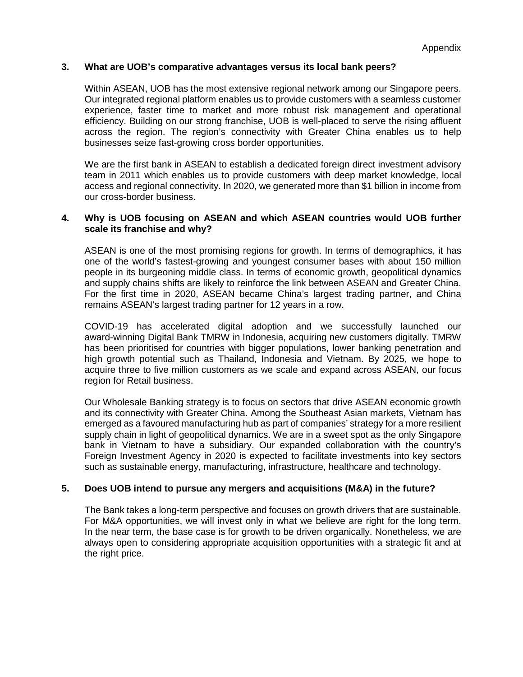#### **3. What are UOB's comparative advantages versus its local bank peers?**

Within ASEAN, UOB has the most extensive regional network among our Singapore peers. Our integrated regional platform enables us to provide customers with a seamless customer experience, faster time to market and more robust risk management and operational efficiency. Building on our strong franchise, UOB is well-placed to serve the rising affluent across the region. The region's connectivity with Greater China enables us to help businesses seize fast-growing cross border opportunities.

We are the first bank in ASEAN to establish a dedicated foreign direct investment advisory team in 2011 which enables us to provide customers with deep market knowledge, local access and regional connectivity. In 2020, we generated more than \$1 billion in income from our cross-border business.

# **4. Why is UOB focusing on ASEAN and which ASEAN countries would UOB further scale its franchise and why?**

ASEAN is one of the most promising regions for growth. In terms of demographics, it has one of the world's fastest-growing and youngest consumer bases with about 150 million people in its burgeoning middle class. In terms of economic growth, geopolitical dynamics and supply chains shifts are likely to reinforce the link between ASEAN and Greater China. For the first time in 2020, ASEAN became China's largest trading partner, and China remains ASEAN's largest trading partner for 12 years in a row.

COVID-19 has accelerated digital adoption and we successfully launched our award-winning Digital Bank TMRW in Indonesia, acquiring new customers digitally. TMRW has been prioritised for countries with bigger populations, lower banking penetration and high growth potential such as Thailand, Indonesia and Vietnam. By 2025, we hope to acquire three to five million customers as we scale and expand across ASEAN, our focus region for Retail business.

Our Wholesale Banking strategy is to focus on sectors that drive ASEAN economic growth and its connectivity with Greater China. Among the Southeast Asian markets, Vietnam has emerged as a favoured manufacturing hub as part of companies' strategy for a more resilient supply chain in light of geopolitical dynamics. We are in a sweet spot as the only Singapore bank in Vietnam to have a subsidiary. Our expanded collaboration with the country's Foreign Investment Agency in 2020 is expected to facilitate investments into key sectors such as sustainable energy, manufacturing, infrastructure, healthcare and technology.

# **5. Does UOB intend to pursue any mergers and acquisitions (M&A) in the future?**

The Bank takes a long-term perspective and focuses on growth drivers that are sustainable. For M&A opportunities, we will invest only in what we believe are right for the long term. In the near term, the base case is for growth to be driven organically. Nonetheless, we are always open to considering appropriate acquisition opportunities with a strategic fit and at the right price.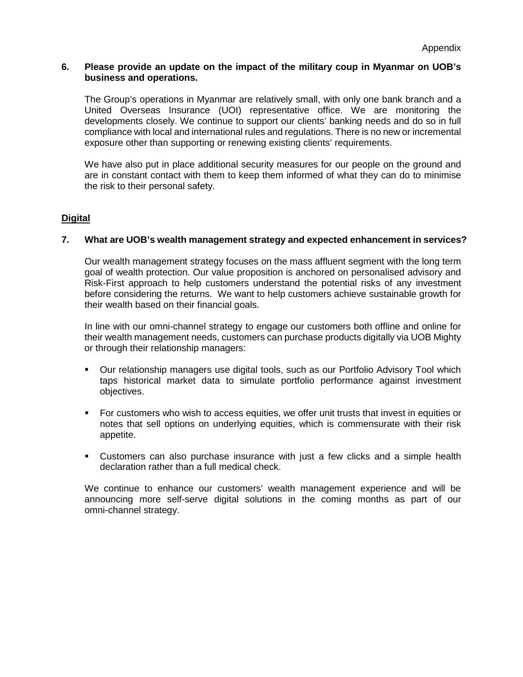#### **6. Please provide an update on the impact of the military coup in Myanmar on UOB's business and operations.**

The Group's operations in Myanmar are relatively small, with only one bank branch and a United Overseas Insurance (UOI) representative office. We are monitoring the developments closely. We continue to support our clients' banking needs and do so in full compliance with local and international rules and regulations. There is no new or incremental exposure other than supporting or renewing existing clients' requirements.

We have also put in place additional security measures for our people on the ground and are in constant contact with them to keep them informed of what they can do to minimise the risk to their personal safety.

# **Digital**

# **7. What are UOB's wealth management strategy and expected enhancement in services?**

Our wealth management strategy focuses on the mass affluent segment with the long term goal of wealth protection. Our value proposition is anchored on personalised advisory and Risk-First approach to help customers understand the potential risks of any investment before considering the returns. We want to help customers achieve sustainable growth for their wealth based on their financial goals.

In line with our omni-channel strategy to engage our customers both offline and online for their wealth management needs, customers can purchase products digitally via UOB Mighty or through their relationship managers:

- Our relationship managers use digital tools, such as our Portfolio Advisory Tool which taps historical market data to simulate portfolio performance against investment objectives.
- For customers who wish to access equities, we offer unit trusts that invest in equities or notes that sell options on underlying equities, which is commensurate with their risk appetite.
- Customers can also purchase insurance with just a few clicks and a simple health declaration rather than a full medical check.

We continue to enhance our customers' wealth management experience and will be announcing more self-serve digital solutions in the coming months as part of our omni-channel strategy.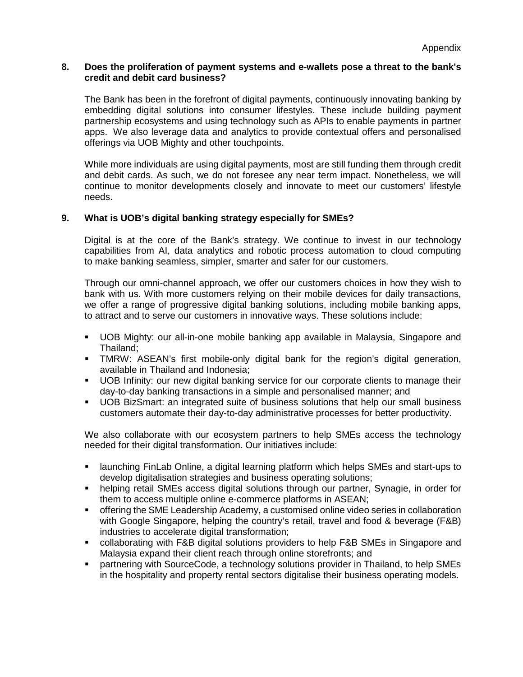## **8. Does the proliferation of payment systems and e-wallets pose a threat to the bank's credit and debit card business?**

The Bank has been in the forefront of digital payments, continuously innovating banking by embedding digital solutions into consumer lifestyles. These include building payment partnership ecosystems and using technology such as APIs to enable payments in partner apps. We also leverage data and analytics to provide contextual offers and personalised offerings via UOB Mighty and other touchpoints.

While more individuals are using digital payments, most are still funding them through credit and debit cards. As such, we do not foresee any near term impact. Nonetheless, we will continue to monitor developments closely and innovate to meet our customers' lifestyle needs.

# **9. What is UOB's digital banking strategy especially for SMEs?**

Digital is at the core of the Bank's strategy. We continue to invest in our technology capabilities from AI, data analytics and robotic process automation to cloud computing to make banking seamless, simpler, smarter and safer for our customers.

Through our omni-channel approach, we offer our customers choices in how they wish to bank with us. With more customers relying on their mobile devices for daily transactions, we offer a range of progressive digital banking solutions, including mobile banking apps, to attract and to serve our customers in innovative ways. These solutions include:

- UOB Mighty: our all-in-one mobile banking app available in Malaysia, Singapore and Thailand;
- TMRW: ASEAN's first mobile-only digital bank for the region's digital generation, available in Thailand and Indonesia;
- **UOB** Infinity: our new digital banking service for our corporate clients to manage their day-to-day banking transactions in a simple and personalised manner; and
- UOB BizSmart: an integrated suite of business solutions that help our small business customers automate their day-to-day administrative processes for better productivity.

We also collaborate with our ecosystem partners to help SMEs access the technology needed for their digital transformation. Our initiatives include:

- launching FinLab Online, a digital learning platform which helps SMEs and start-ups to develop digitalisation strategies and business operating solutions;
- helping retail SMEs access digital solutions through our partner, Synagie, in order for them to access multiple online e-commerce platforms in ASEAN;
- offering the SME Leadership Academy, a customised online video series in collaboration with Google Singapore, helping the country's retail, travel and food & beverage (F&B) industries to accelerate digital transformation;
- collaborating with F&B digital solutions providers to help F&B SMEs in Singapore and Malaysia expand their client reach through online storefronts; and
- partnering with SourceCode, a technology solutions provider in Thailand, to help SMEs in the hospitality and property rental sectors digitalise their business operating models.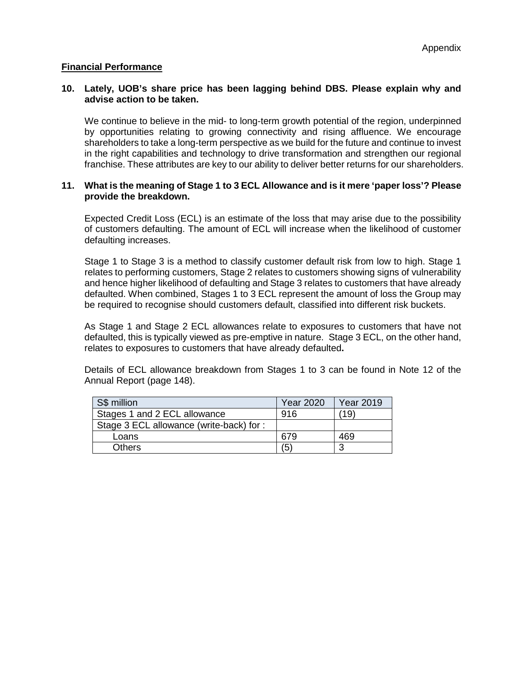## **Financial Performance**

## **10. Lately, UOB's share price has been lagging behind DBS. Please explain why and advise action to be taken.**

We continue to believe in the mid- to long-term growth potential of the region, underpinned by opportunities relating to growing connectivity and rising affluence. We encourage shareholders to take a long-term perspective as we build for the future and continue to invest in the right capabilities and technology to drive transformation and strengthen our regional franchise. These attributes are key to our ability to deliver better returns for our shareholders.

#### **11. What is the meaning of Stage 1 to 3 ECL Allowance and is it mere 'paper loss'? Please provide the breakdown.**

Expected Credit Loss (ECL) is an estimate of the loss that may arise due to the possibility of customers defaulting. The amount of ECL will increase when the likelihood of customer defaulting increases.

Stage 1 to Stage 3 is a method to classify customer default risk from low to high. Stage 1 relates to performing customers, Stage 2 relates to customers showing signs of vulnerability and hence higher likelihood of defaulting and Stage 3 relates to customers that have already defaulted. When combined, Stages 1 to 3 ECL represent the amount of loss the Group may be required to recognise should customers default, classified into different risk buckets.

As Stage 1 and Stage 2 ECL allowances relate to exposures to customers that have not defaulted, this is typically viewed as pre-emptive in nature. Stage 3 ECL, on the other hand, relates to exposures to customers that have already defaulted**.** 

Details of ECL allowance breakdown from Stages 1 to 3 can be found in Note 12 of the Annual Report (page 148).

| S\$ million                             | <b>Year 2020</b> | <b>Year 2019</b> |
|-----------------------------------------|------------------|------------------|
| Stages 1 and 2 ECL allowance            | 916              | 19               |
| Stage 3 ECL allowance (write-back) for: |                  |                  |
| Loans                                   | 679              | 469              |
| <b>Others</b>                           | (5)              | ว                |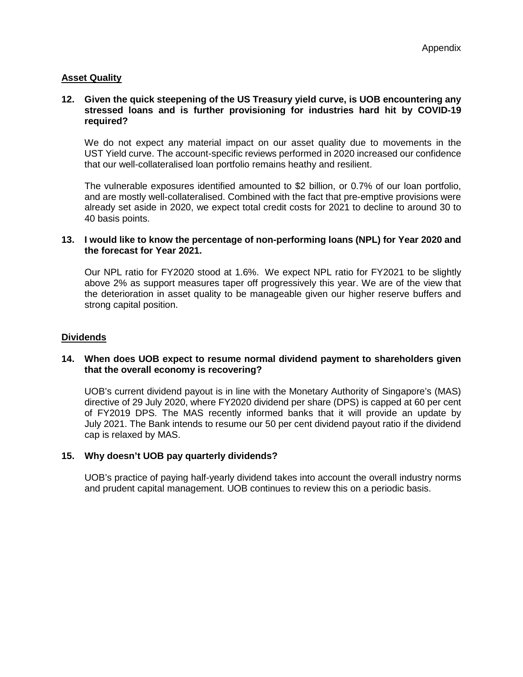# **Asset Quality**

### **12. Given the quick steepening of the US Treasury yield curve, is UOB encountering any stressed loans and is further provisioning for industries hard hit by COVID-19 required?**

We do not expect any material impact on our asset quality due to movements in the UST Yield curve. The account-specific reviews performed in 2020 increased our confidence that our well-collateralised loan portfolio remains heathy and resilient.

The vulnerable exposures identified amounted to \$2 billion, or 0.7% of our loan portfolio, and are mostly well-collateralised. Combined with the fact that pre-emptive provisions were already set aside in 2020, we expect total credit costs for 2021 to decline to around 30 to 40 basis points.

#### **13. I would like to know the percentage of non-performing loans (NPL) for Year 2020 and the forecast for Year 2021.**

Our NPL ratio for FY2020 stood at 1.6%. We expect NPL ratio for FY2021 to be slightly above 2% as support measures taper off progressively this year. We are of the view that the deterioration in asset quality to be manageable given our higher reserve buffers and strong capital position.

#### **Dividends**

## **14. When does UOB expect to resume normal dividend payment to shareholders given that the overall economy is recovering?**

UOB's current dividend payout is in line with the Monetary Authority of Singapore's (MAS) directive of 29 July 2020, where FY2020 dividend per share (DPS) is capped at 60 per cent of FY2019 DPS. The MAS recently informed banks that it will provide an update by July 2021. The Bank intends to resume our 50 per cent dividend payout ratio if the dividend cap is relaxed by MAS.

#### **15. Why doesn't UOB pay quarterly dividends?**

UOB's practice of paying half-yearly dividend takes into account the overall industry norms and prudent capital management. UOB continues to review this on a periodic basis.